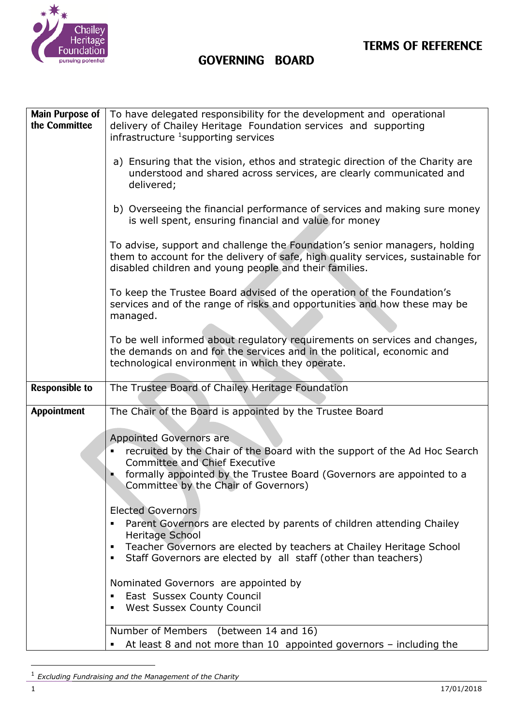

**TERMS OF REFERENCE** 

## **GOVERNING BOARD**

| Main Purpose of       | To have delegated responsibility for the development and operational                                                                                                                                                     |  |  |
|-----------------------|--------------------------------------------------------------------------------------------------------------------------------------------------------------------------------------------------------------------------|--|--|
| the Committee         | delivery of Chailey Heritage Foundation services and supporting                                                                                                                                                          |  |  |
|                       | infrastructure <sup>1</sup> supporting services                                                                                                                                                                          |  |  |
|                       | a) Ensuring that the vision, ethos and strategic direction of the Charity are<br>understood and shared across services, are clearly communicated and<br>delivered;                                                       |  |  |
|                       | b) Overseeing the financial performance of services and making sure money<br>is well spent, ensuring financial and value for money                                                                                       |  |  |
|                       | To advise, support and challenge the Foundation's senior managers, holding<br>them to account for the delivery of safe, high quality services, sustainable for<br>disabled children and young people and their families. |  |  |
|                       | To keep the Trustee Board advised of the operation of the Foundation's<br>services and of the range of risks and opportunities and how these may be<br>managed.                                                          |  |  |
|                       | To be well informed about regulatory requirements on services and changes,<br>the demands on and for the services and in the political, economic and<br>technological environment in which they operate.                 |  |  |
|                       |                                                                                                                                                                                                                          |  |  |
| <b>Responsible to</b> | The Trustee Board of Chailey Heritage Foundation                                                                                                                                                                         |  |  |
| Appointment           | The Chair of the Board is appointed by the Trustee Board                                                                                                                                                                 |  |  |
|                       |                                                                                                                                                                                                                          |  |  |
|                       |                                                                                                                                                                                                                          |  |  |
|                       | Appointed Governors are<br>recruited by the Chair of the Board with the support of the Ad Hoc Search<br><b>Committee and Chief Executive</b>                                                                             |  |  |
|                       | formally appointed by the Trustee Board (Governors are appointed to a<br>Committee by the Chair of Governors)                                                                                                            |  |  |
|                       |                                                                                                                                                                                                                          |  |  |
|                       | <b>Elected Governors</b>                                                                                                                                                                                                 |  |  |
|                       | Parent Governors are elected by parents of children attending Chailey<br>Heritage School                                                                                                                                 |  |  |
|                       | Teacher Governors are elected by teachers at Chailey Heritage School<br>Staff Governors are elected by all staff (other than teachers)                                                                                   |  |  |
|                       | Nominated Governors are appointed by                                                                                                                                                                                     |  |  |
|                       | East Sussex County Council<br>٠<br><b>West Sussex County Council</b>                                                                                                                                                     |  |  |
|                       |                                                                                                                                                                                                                          |  |  |
|                       | Number of Members (between 14 and 16)<br>• At least 8 and not more than 10 appointed governors - including the                                                                                                           |  |  |

<sup>1</sup> *Excluding Fundraising and the Management of the Charity*

-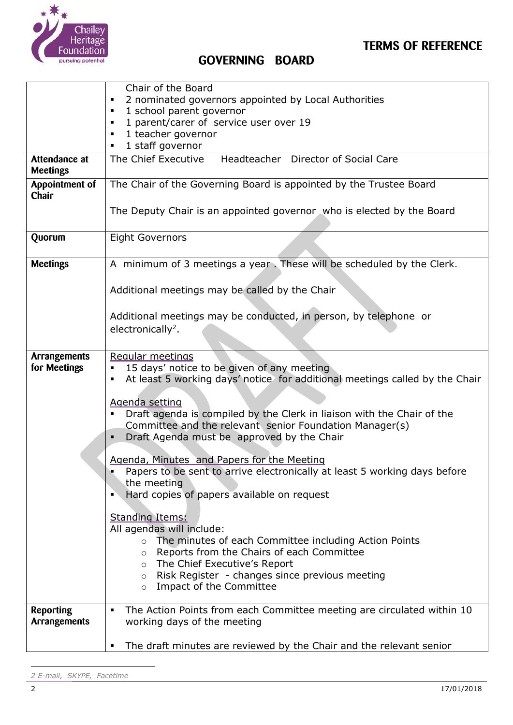

|                                     | Chair of the Board                                                                                                                                                   |  |  |
|-------------------------------------|----------------------------------------------------------------------------------------------------------------------------------------------------------------------|--|--|
|                                     | 2 nominated governors appointed by Local Authorities                                                                                                                 |  |  |
|                                     | 1 school parent governor<br>$\blacksquare$                                                                                                                           |  |  |
|                                     | 1 parent/carer of service user over 19                                                                                                                               |  |  |
|                                     | 1 teacher governor<br>$\blacksquare$                                                                                                                                 |  |  |
|                                     | 1 staff governor<br>$\blacksquare$                                                                                                                                   |  |  |
| Attendance at<br><b>Meetings</b>    | Headteacher Director of Social Care<br>The Chief Executive                                                                                                           |  |  |
| Appointment of<br>Chair             | The Chair of the Governing Board is appointed by the Trustee Board                                                                                                   |  |  |
|                                     | The Deputy Chair is an appointed governor who is elected by the Board                                                                                                |  |  |
| Quorum                              | <b>Eight Governors</b>                                                                                                                                               |  |  |
| <b>Meetings</b>                     | A minimum of 3 meetings a year. These will be scheduled by the Clerk.                                                                                                |  |  |
|                                     | Additional meetings may be called by the Chair                                                                                                                       |  |  |
|                                     | Additional meetings may be conducted, in person, by telephone or                                                                                                     |  |  |
|                                     | electronically <sup>2</sup> .                                                                                                                                        |  |  |
|                                     |                                                                                                                                                                      |  |  |
| <b>Arrangements</b><br>for Meetings | Regular meetings<br>15 days' notice to be given of any meeting<br>٠<br>At least 5 working days' notice for additional meetings called by the Chair<br>$\blacksquare$ |  |  |
|                                     |                                                                                                                                                                      |  |  |
|                                     | Agenda setting                                                                                                                                                       |  |  |
|                                     | Draft agenda is compiled by the Clerk in liaison with the Chair of the<br>$\blacksquare$                                                                             |  |  |
|                                     | Committee and the relevant senior Foundation Manager(s)                                                                                                              |  |  |
|                                     | Draft Agenda must be approved by the Chair                                                                                                                           |  |  |
|                                     | Agenda, Minutes and Papers for the Meeting                                                                                                                           |  |  |
|                                     | Papers to be sent to arrive electronically at least 5 working days before                                                                                            |  |  |
| the meeting                         |                                                                                                                                                                      |  |  |
|                                     | Hard copies of papers available on request                                                                                                                           |  |  |
|                                     |                                                                                                                                                                      |  |  |
|                                     | <b>Standing Items:</b>                                                                                                                                               |  |  |
|                                     | All agendas will include:                                                                                                                                            |  |  |
|                                     | The minutes of each Committee including Action Points<br>$\circ$<br>Reports from the Chairs of each Committee<br>$\circ$                                             |  |  |
|                                     | The Chief Executive's Report<br>$\circ$                                                                                                                              |  |  |
|                                     | Risk Register - changes since previous meeting<br>$\circ$                                                                                                            |  |  |
|                                     | Impact of the Committee<br>$\circ$                                                                                                                                   |  |  |
|                                     |                                                                                                                                                                      |  |  |
| <b>Reporting</b>                    | The Action Points from each Committee meeting are circulated within 10                                                                                               |  |  |
| <b>Arrangements</b>                 | working days of the meeting                                                                                                                                          |  |  |
|                                     |                                                                                                                                                                      |  |  |
|                                     | The draft minutes are reviewed by the Chair and the relevant senior<br>$\blacksquare$                                                                                |  |  |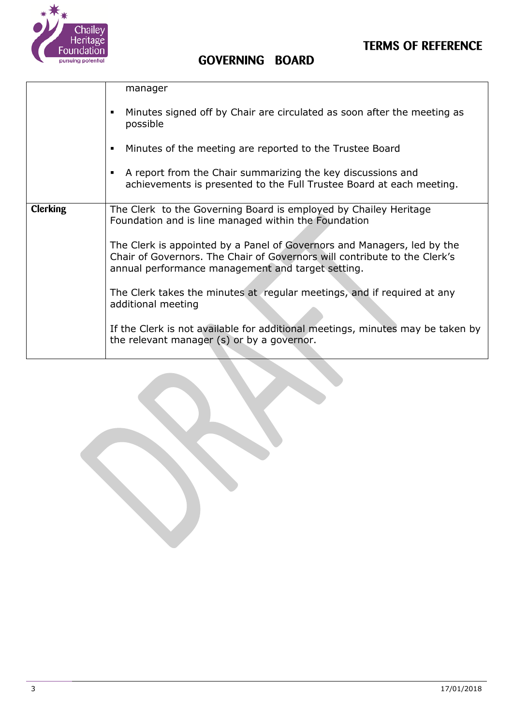



|                 | manager                                                                                                                                                                                                   |
|-----------------|-----------------------------------------------------------------------------------------------------------------------------------------------------------------------------------------------------------|
|                 | Minutes signed off by Chair are circulated as soon after the meeting as<br>possible                                                                                                                       |
|                 | Minutes of the meeting are reported to the Trustee Board<br>$\blacksquare$                                                                                                                                |
|                 | • A report from the Chair summarizing the key discussions and<br>achievements is presented to the Full Trustee Board at each meeting.                                                                     |
| <b>Clerking</b> | The Clerk to the Governing Board is employed by Chailey Heritage<br>Foundation and is line managed within the Foundation                                                                                  |
|                 | The Clerk is appointed by a Panel of Governors and Managers, led by the<br>Chair of Governors. The Chair of Governors will contribute to the Clerk's<br>annual performance management and target setting. |
|                 | The Clerk takes the minutes at regular meetings, and if required at any<br>additional meeting                                                                                                             |
|                 | If the Clerk is not available for additional meetings, minutes may be taken by<br>the relevant manager (s) or by a governor.                                                                              |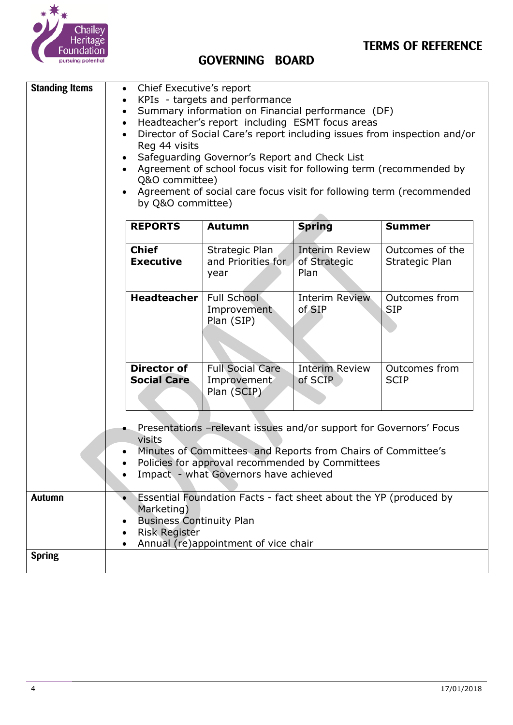

| <b>Standing Items</b>                                                                                                                                                                                                                     | Chief Executive's report<br>KPIs - targets and performance<br>Summary information on Financial performance (DF)<br>$\bullet$<br>Headteacher's report including ESMT focus areas<br>$\bullet$<br>Director of Social Care's report including issues from inspection and/or<br>$\bullet$<br>Reg 44 visits<br>Safeguarding Governor's Report and Check List<br>$\bullet$<br>Agreement of school focus visit for following term (recommended by<br>Q&O committee)<br>Agreement of social care focus visit for following term (recommended<br>by Q&O committee) |                                                       |                                               |                                   |
|-------------------------------------------------------------------------------------------------------------------------------------------------------------------------------------------------------------------------------------------|-----------------------------------------------------------------------------------------------------------------------------------------------------------------------------------------------------------------------------------------------------------------------------------------------------------------------------------------------------------------------------------------------------------------------------------------------------------------------------------------------------------------------------------------------------------|-------------------------------------------------------|-----------------------------------------------|-----------------------------------|
|                                                                                                                                                                                                                                           | <b>REPORTS</b>                                                                                                                                                                                                                                                                                                                                                                                                                                                                                                                                            | <b>Autumn</b>                                         | <b>Spring</b>                                 | <b>Summer</b>                     |
|                                                                                                                                                                                                                                           | <b>Chief</b><br><b>Executive</b>                                                                                                                                                                                                                                                                                                                                                                                                                                                                                                                          | Strategic Plan<br>and Priorities for<br>year          | <b>Interim Review</b><br>of Strategic<br>Plan | Outcomes of the<br>Strategic Plan |
|                                                                                                                                                                                                                                           | <b>Headteacher</b>                                                                                                                                                                                                                                                                                                                                                                                                                                                                                                                                        | Full School<br>Improvement<br>Plan (SIP)              | <b>Interim Review</b><br>of SIP               | Outcomes from<br><b>SIP</b>       |
|                                                                                                                                                                                                                                           | <b>Director of</b><br><b>Social Care</b>                                                                                                                                                                                                                                                                                                                                                                                                                                                                                                                  | <b>Full Social Care</b><br>Improvement<br>Plan (SCIP) | <b>Interim Review</b><br>of SCIP              | Outcomes from<br><b>SCIP</b>      |
| Presentations - relevant issues and/or support for Governors' Focus<br>visits<br>Minutes of Committees and Reports from Chairs of Committee's<br>Policies for approval recommended by Committees<br>Impact - what Governors have achieved |                                                                                                                                                                                                                                                                                                                                                                                                                                                                                                                                                           |                                                       |                                               |                                   |
| Autumn                                                                                                                                                                                                                                    | Essential Foundation Facts - fact sheet about the YP (produced by<br>Marketing)<br><b>Business Continuity Plan</b><br><b>Risk Register</b><br>Annual (re)appointment of vice chair                                                                                                                                                                                                                                                                                                                                                                        |                                                       |                                               |                                   |
| <b>Spring</b>                                                                                                                                                                                                                             |                                                                                                                                                                                                                                                                                                                                                                                                                                                                                                                                                           |                                                       |                                               |                                   |